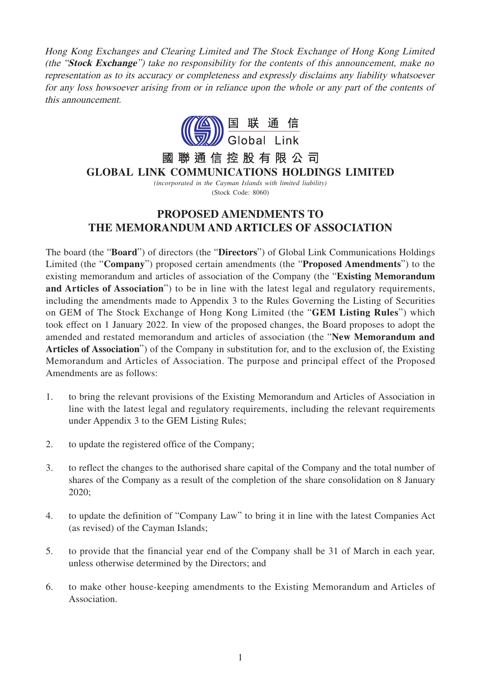Hong Kong Exchanges and Clearing Limited and The Stock Exchange of Hong Kong Limited (the "**Stock Exchange**") take no responsibility for the contents of this announcement, make no representation as to its accuracy or completeness and expressly disclaims any liability whatsoever for any loss howsoever arising from or in reliance upon the whole or any part of the contents of this announcement.



## 聯通信控股有限公司 國 **GLOBAL LINK COMMUNICATIONS HOLDINGS LIMITED**

*(incorporated in the Cayman Islands with limited liability)* (Stock Code: 8060)

## **PROPOSED AMENDMENTS TO THE MEMORANDUM AND ARTICLES OF ASSOCIATION**

The board (the "**Board**") of directors (the "**Directors**") of Global Link Communications Holdings Limited (the "**Company**") proposed certain amendments (the "**Proposed Amendments**") to the existing memorandum and articles of association of the Company (the "**Existing Memorandum and Articles of Association**") to be in line with the latest legal and regulatory requirements, including the amendments made to Appendix 3 to the Rules Governing the Listing of Securities on GEM of The Stock Exchange of Hong Kong Limited (the "**GEM Listing Rules**") which took effect on 1 January 2022. In view of the proposed changes, the Board proposes to adopt the amended and restated memorandum and articles of association (the "**New Memorandum and Articles of Association**") of the Company in substitution for, and to the exclusion of, the Existing Memorandum and Articles of Association. The purpose and principal effect of the Proposed Amendments are as follows:

- 1. to bring the relevant provisions of the Existing Memorandum and Articles of Association in line with the latest legal and regulatory requirements, including the relevant requirements under Appendix 3 to the GEM Listing Rules;
- 2. to update the registered office of the Company;
- 3. to reflect the changes to the authorised share capital of the Company and the total number of shares of the Company as a result of the completion of the share consolidation on 8 January 2020;
- 4. to update the definition of "Company Law" to bring it in line with the latest Companies Act (as revised) of the Cayman Islands;
- 5. to provide that the financial year end of the Company shall be 31 of March in each year, unless otherwise determined by the Directors; and
- 6. to make other house-keeping amendments to the Existing Memorandum and Articles of Association.